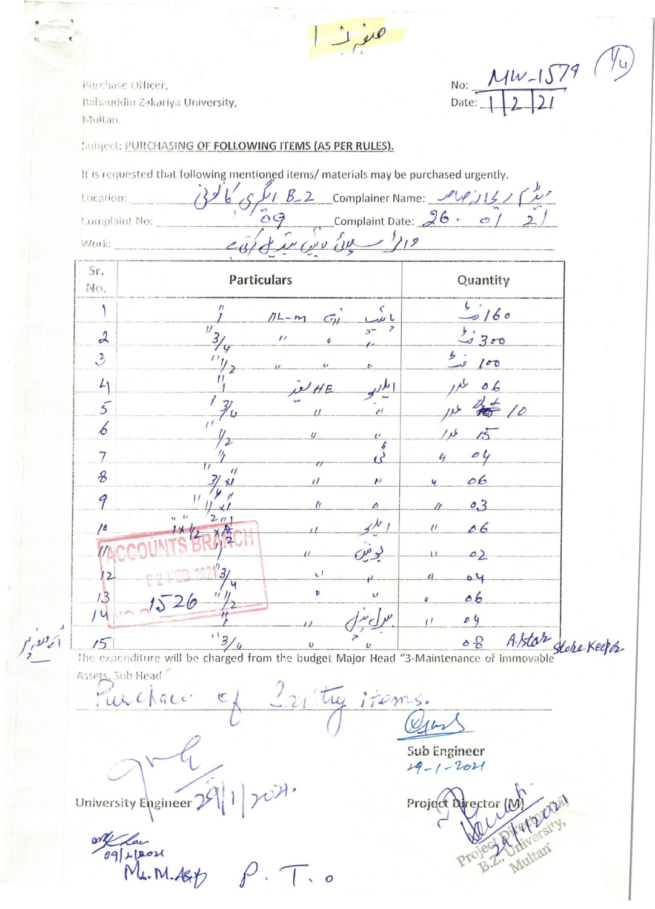Purchase Officer, Bahauddin Zakariya University, Multan.

Subject: PURCHASING OF FOLLOWING ITEMS (AS PER RULES).

|                |                               |                |                    | It is requested that following mentioned items/ materials may be purchased urgently. |
|----------------|-------------------------------|----------------|--------------------|--------------------------------------------------------------------------------------|
| Location:      |                               |                |                    | B_2 Complainer Name: PUPILL                                                          |
| Complaint No:  | Complaint Date: $26 \cdot 21$ |                |                    |                                                                                      |
| Work:          |                               |                | $2^{119}$<br>$\mu$ |                                                                                      |
| Sr.<br>No.     | <b>Particulars</b>            |                |                    | Quantity                                                                             |
|                |                               | $11-1$         |                    | $-0/60$                                                                              |
| $\mathcal{L}$  | $\overline{U}$                | $\prime\prime$ |                    | 20300                                                                                |
| $\mathcal{E}$  |                               | $\epsilon$     |                    | 100                                                                                  |
| 41             |                               | $H$ $F$        |                    | 06                                                                                   |
| $\overline{5}$ |                               |                |                    |                                                                                      |
| 6              |                               |                | $\mathbf{r}$       |                                                                                      |
|                | $\mathbf{r}$                  | $\tau\tau$     |                    | O <sub>4</sub>                                                                       |
| $\mathcal{B}$  | $\prime$<br>31 x1             | $\iota$        | $\mathbf{r}$       | 06                                                                                   |

9

10

 $1.3$ 

 $14$ 

The expenditure will be charged from the budget Major Head "3-Maintenance of Immovable" Stoke Keep by

 $\mathbf{v}$ 

b

Furchace. items. Osin

University Engineer 29 rox.

 $1526$ 

on Car<br>Mr. M. Ast P. T. 0

Sub Engineer 19-1-2021

Project Director (M

 $0,3$ 

06

 $\Delta$ )

04

06

04

 $\mathcal{U}$ 

 $\frac{1}{2}$ 

 $\ddot{\mathcal{O}}$ 

No:  $Mw-1579$   $\frac{\sqrt{4}}{2}$